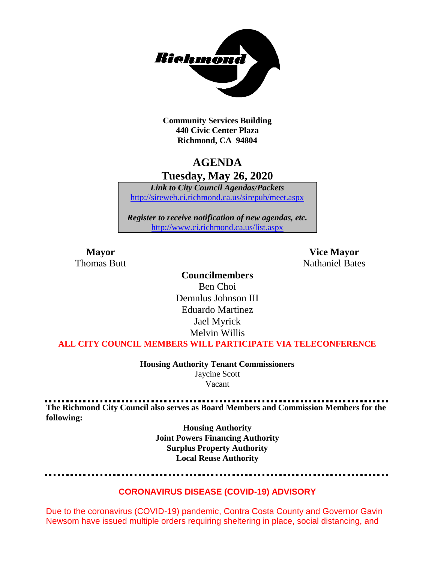

**Community Services Building 440 Civic Center Plaza Richmond, CA 94804**

## **AGENDA**

**Tuesday, May 26, 2020**

*Link to City Council Agendas/Packets* <http://sireweb.ci.richmond.ca.us/sirepub/meet.aspx>

*Register to receive notification of new agendas, etc.* <http://www.ci.richmond.ca.us/list.aspx>

**Mayor Vice Mayor** Thomas Butt **Nathaniel Bates** Nathaniel Bates

#### **Councilmembers**

Ben Choi Demnlus Johnson III Eduardo Martinez Jael Myrick Melvin Willis

**ALL CITY COUNCIL MEMBERS WILL PARTICIPATE VIA TELECONFERENCE**

**Housing Authority Tenant Commissioners** Jaycine Scott Vacant

**The Richmond City Council also serves as Board Members and Commission Members for the following:**

> **Housing Authority Joint Powers Financing Authority Surplus Property Authority Local Reuse Authority**

#### **CORONAVIRUS DISEASE (COVID-19) ADVISORY**

Due to the coronavirus (COVID-19) pandemic, Contra Costa County and Governor Gavin Newsom have issued multiple orders requiring sheltering in place, social distancing, and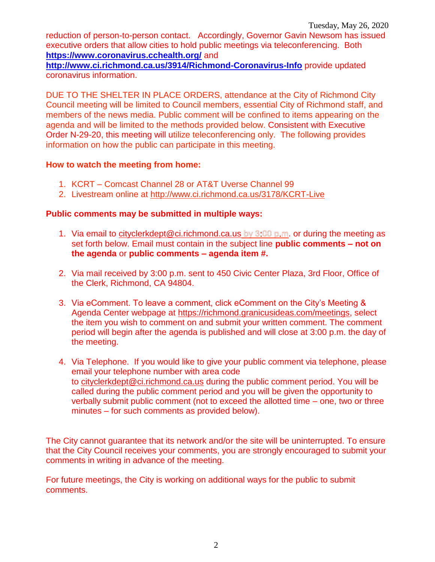reduction of person-to-person contact. Accordingly, Governor Gavin Newsom has issued executive orders that allow cities to hold public meetings via teleconferencing. Both **<https://www.coronavirus.cchealth.org/>** and

**<http://www.ci.richmond.ca.us/3914/Richmond-Coronavirus-Info>** provide updated coronavirus information.

DUE TO THE SHELTER IN PLACE ORDERS, attendance at the City of Richmond City Council meeting will be limited to Council members, essential City of Richmond staff, and members of the news media. Public comment will be confined to items appearing on the agenda and will be limited to the methods provided below. Consistent with Executive Order N-29-20, this meeting will utilize teleconferencing only. The following provides information on how the public can participate in this meeting.

#### **How to watch the meeting from home:**

- 1. KCRT Comcast Channel 28 or AT&T Uverse Channel 99
- 2. Livestream online at<http://www.ci.richmond.ca.us/3178/KCRT-Live>

#### **Public comments may be submitted in multiple ways:**

- 1. Via email to [cityclerkdept@ci.richmond.ca.us](mailto:cityclerkdept@ci.richmond.ca.us) by  $3:00$  p.m. or during the meeting as set forth below. Email must contain in the subject line **public comments – not on the agenda** or **public comments – agenda item #.**
- 2. Via mail received by 3:00 p.m. sent to 450 Civic Center Plaza, 3rd Floor, Office of the Clerk, Richmond, CA 94804.
- 3. Via eComment. To leave a comment, click eComment on the City's Meeting & Agenda Center webpage at [https://richmond.granicusideas.com/meetings,](https://richmond.granicusideas.com/meetings) select the item you wish to comment on and submit your written comment. The comment period will begin after the agenda is published and will close at 3:00 p.m. the day of the meeting.
- 4. Via Telephone. If you would like to give your public comment via telephone, please email your telephone number with area code to [cityclerkdept@ci.richmond.ca.us](mailto:cityclerkdept@ci.richmond.ca.us) during the public comment period. You will be called during the public comment period and you will be given the opportunity to verbally submit public comment (not to exceed the allotted time – one, two or three minutes – for such comments as provided below).

The City cannot guarantee that its network and/or the site will be uninterrupted. To ensure that the City Council receives your comments, you are strongly encouraged to submit your comments in writing in advance of the meeting.

For future meetings, the City is working on additional ways for the public to submit comments.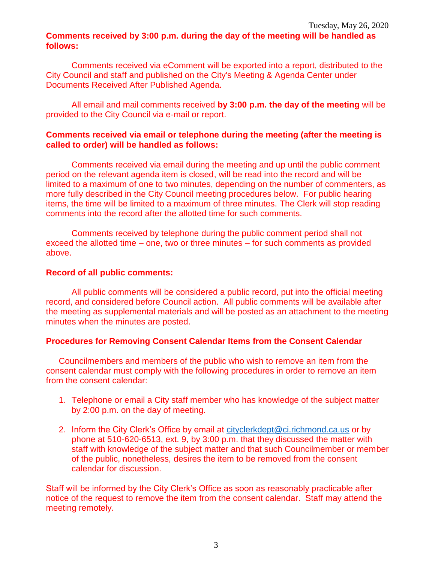#### **Comments received by 3:00 p.m. during the day of the meeting will be handled as follows:**

Comments received via eComment will be exported into a report, distributed to the City Council and staff and published on the City's Meeting & Agenda Center under Documents Received After Published Agenda.

All email and mail comments received **by 3:00 p.m. the day of the meeting** will be provided to the City Council via e-mail or report.

#### **Comments received via email or telephone during the meeting (after the meeting is called to order) will be handled as follows:**

Comments received via email during the meeting and up until the public comment period on the relevant agenda item is closed, will be read into the record and will be limited to a maximum of one to two minutes, depending on the number of commenters, as more fully described in the City Council meeting procedures below. For public hearing items, the time will be limited to a maximum of three minutes. The Clerk will stop reading comments into the record after the allotted time for such comments.

Comments received by telephone during the public comment period shall not exceed the allotted time – one, two or three minutes – for such comments as provided above.

#### **Record of all public comments:**

All public comments will be considered a public record, put into the official meeting record, and considered before Council action. All public comments will be available after the meeting as supplemental materials and will be posted as an attachment to the meeting minutes when the minutes are posted.

#### **Procedures for Removing Consent Calendar Items from the Consent Calendar**

Councilmembers and members of the public who wish to remove an item from the consent calendar must comply with the following procedures in order to remove an item from the consent calendar:

- 1. Telephone or email a City staff member who has knowledge of the subject matter by 2:00 p.m. on the day of meeting.
- 2. Inform the City Clerk's Office by email at [cityclerkdept@ci.richmond.ca.us](mailto:cityclerkdept@ci.richmond.ca.us) or by phone at 510-620-6513, ext. 9, by 3:00 p.m. that they discussed the matter with staff with knowledge of the subject matter and that such Councilmember or member of the public, nonetheless, desires the item to be removed from the consent calendar for discussion.

Staff will be informed by the City Clerk's Office as soon as reasonably practicable after notice of the request to remove the item from the consent calendar. Staff may attend the meeting remotely.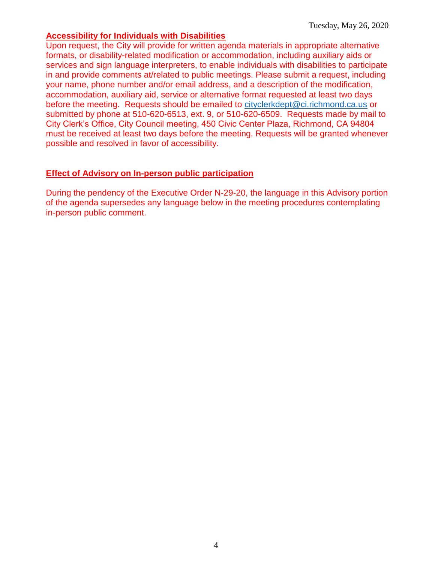#### **Accessibility for Individuals with Disabilities**

Upon request, the City will provide for written agenda materials in appropriate alternative formats, or disability-related modification or accommodation, including auxiliary aids or services and sign language interpreters, to enable individuals with disabilities to participate in and provide comments at/related to public meetings. Please submit a request, including your name, phone number and/or email address, and a description of the modification, accommodation, auxiliary aid, service or alternative format requested at least two days before the meeting. Requests should be emailed to [cityclerkdept@ci.richmond.ca.us](mailto:cityclerkdept@ci.richmond.ca.us) or submitted by phone at 510-620-6513, ext. 9, or 510-620-6509. Requests made by mail to City Clerk's Office, City Council meeting, 450 Civic Center Plaza, Richmond, CA 94804 must be received at least two days before the meeting. Requests will be granted whenever possible and resolved in favor of accessibility.

#### **Effect of Advisory on In-person public participation**

During the pendency of the Executive Order N-29-20, the language in this Advisory portion of the agenda supersedes any language below in the meeting procedures contemplating in-person public comment.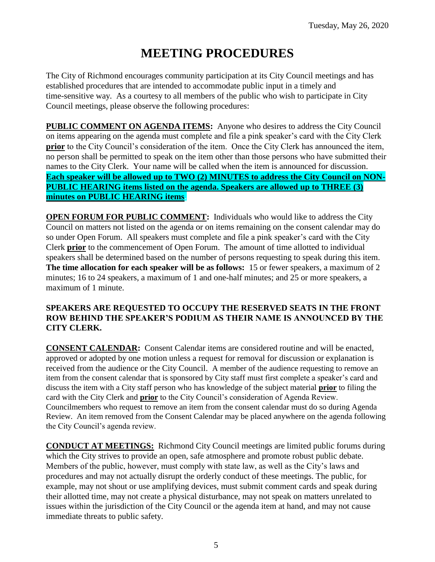# **MEETING PROCEDURES**

The City of Richmond encourages community participation at its City Council meetings and has established procedures that are intended to accommodate public input in a timely and time-sensitive way. As a courtesy to all members of the public who wish to participate in City Council meetings, please observe the following procedures:

**PUBLIC COMMENT ON AGENDA ITEMS:** Anyone who desires to address the City Council on items appearing on the agenda must complete and file a pink speaker's card with the City Clerk **prior** to the City Council's consideration of the item. Once the City Clerk has announced the item, no person shall be permitted to speak on the item other than those persons who have submitted their names to the City Clerk. Your name will be called when the item is announced for discussion. **Each speaker will be allowed up to TWO (2) MINUTES to address the City Council on NON-PUBLIC HEARING items listed on the agenda. Speakers are allowed up to THREE (3) minutes on PUBLIC HEARING items.**

**OPEN FORUM FOR PUBLIC COMMENT:** Individuals who would like to address the City Council on matters not listed on the agenda or on items remaining on the consent calendar may do so under Open Forum. All speakers must complete and file a pink speaker's card with the City Clerk **prior** to the commencement of Open Forum. The amount of time allotted to individual speakers shall be determined based on the number of persons requesting to speak during this item. **The time allocation for each speaker will be as follows:** 15 or fewer speakers, a maximum of 2 minutes; 16 to 24 speakers, a maximum of 1 and one-half minutes; and 25 or more speakers, a maximum of 1 minute.

#### **SPEAKERS ARE REQUESTED TO OCCUPY THE RESERVED SEATS IN THE FRONT ROW BEHIND THE SPEAKER'S PODIUM AS THEIR NAME IS ANNOUNCED BY THE CITY CLERK.**

**CONSENT CALENDAR:** Consent Calendar items are considered routine and will be enacted, approved or adopted by one motion unless a request for removal for discussion or explanation is received from the audience or the City Council. A member of the audience requesting to remove an item from the consent calendar that is sponsored by City staff must first complete a speaker's card and discuss the item with a City staff person who has knowledge of the subject material **prior** to filing the card with the City Clerk and **prior** to the City Council's consideration of Agenda Review. Councilmembers who request to remove an item from the consent calendar must do so during Agenda Review. An item removed from the Consent Calendar may be placed anywhere on the agenda following the City Council's agenda review.

**CONDUCT AT MEETINGS:** Richmond City Council meetings are limited public forums during which the City strives to provide an open, safe atmosphere and promote robust public debate. Members of the public, however, must comply with state law, as well as the City's laws and procedures and may not actually disrupt the orderly conduct of these meetings. The public, for example, may not shout or use amplifying devices, must submit comment cards and speak during their allotted time, may not create a physical disturbance, may not speak on matters unrelated to issues within the jurisdiction of the City Council or the agenda item at hand, and may not cause immediate threats to public safety.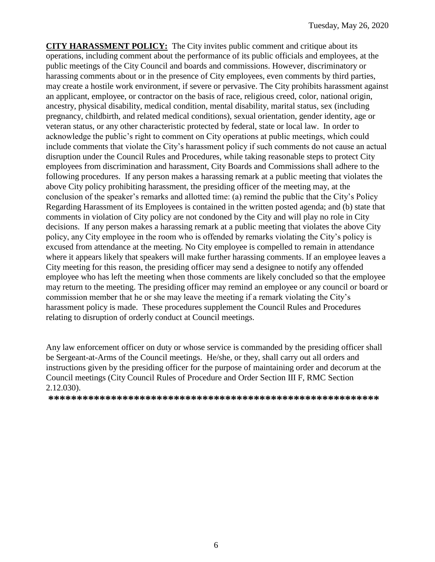**CITY HARASSMENT POLICY:** The City invites public comment and critique about its operations, including comment about the performance of its public officials and employees, at the public meetings of the City Council and boards and commissions. However, discriminatory or harassing comments about or in the presence of City employees, even comments by third parties, may create a hostile work environment, if severe or pervasive. The City prohibits harassment against an applicant, employee, or contractor on the basis of race, religious creed, color, national origin, ancestry, physical disability, medical condition, mental disability, marital status, sex (including pregnancy, childbirth, and related medical conditions), sexual orientation, gender identity, age or veteran status, or any other characteristic protected by federal, state or local law. In order to acknowledge the public's right to comment on City operations at public meetings, which could include comments that violate the City's harassment policy if such comments do not cause an actual disruption under the Council Rules and Procedures, while taking reasonable steps to protect City employees from discrimination and harassment, City Boards and Commissions shall adhere to the following procedures. If any person makes a harassing remark at a public meeting that violates the above City policy prohibiting harassment, the presiding officer of the meeting may, at the conclusion of the speaker's remarks and allotted time: (a) remind the public that the City's Policy Regarding Harassment of its Employees is contained in the written posted agenda; and (b) state that comments in violation of City policy are not condoned by the City and will play no role in City decisions. If any person makes a harassing remark at a public meeting that violates the above City policy, any City employee in the room who is offended by remarks violating the City's policy is excused from attendance at the meeting. No City employee is compelled to remain in attendance where it appears likely that speakers will make further harassing comments. If an employee leaves a City meeting for this reason, the presiding officer may send a designee to notify any offended employee who has left the meeting when those comments are likely concluded so that the employee may return to the meeting. The presiding officer may remind an employee or any council or board or commission member that he or she may leave the meeting if a remark violating the City's harassment policy is made. These procedures supplement the Council Rules and Procedures relating to disruption of orderly conduct at Council meetings.

Any law enforcement officer on duty or whose service is commanded by the presiding officer shall be Sergeant-at-Arms of the Council meetings. He/she, or they, shall carry out all orders and instructions given by the presiding officer for the purpose of maintaining order and decorum at the Council meetings (City Council Rules of Procedure and Order Section III F, RMC Section 2.12.030).

**\*\*\*\*\*\*\*\*\*\*\*\*\*\*\*\*\*\*\*\*\*\*\*\*\*\*\*\*\*\*\*\*\*\*\*\*\*\*\*\*\*\*\*\*\*\*\*\*\*\*\*\*\*\*\*\*\*\***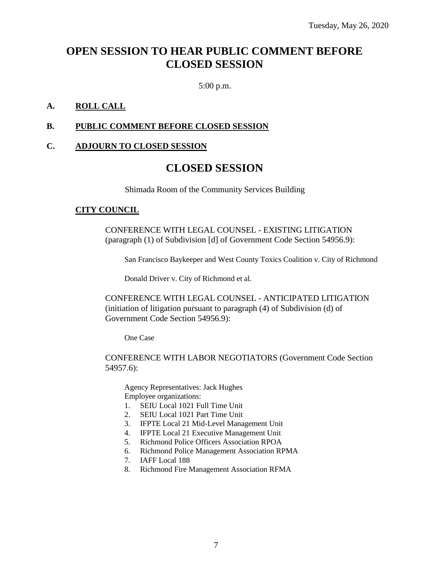## **OPEN SESSION TO HEAR PUBLIC COMMENT BEFORE CLOSED SESSION**

5:00 p.m.

#### **A. ROLL CALL**

#### **B. PUBLIC COMMENT BEFORE CLOSED SESSION**

#### **C. ADJOURN TO CLOSED SESSION**

### **CLOSED SESSION**

Shimada Room of the Community Services Building

#### **CITY COUNCIL**

CONFERENCE WITH LEGAL COUNSEL - EXISTING LITIGATION (paragraph (1) of Subdivision [d] of Government Code Section 54956.9):

San Francisco Baykeeper and West County Toxics Coalition v. City of Richmond

Donald Driver v. City of Richmond et al.

CONFERENCE WITH LEGAL COUNSEL - ANTICIPATED LITIGATION (initiation of litigation pursuant to paragraph (4) of Subdivision (d) of Government Code Section 54956.9):

One Case

CONFERENCE WITH LABOR NEGOTIATORS (Government Code Section 54957.6):

Agency Representatives: Jack Hughes Employee organizations:

- 1. SEIU Local 1021 Full Time Unit
- 2. SEIU Local 1021 Part Time Unit
- 3. IFPTE Local 21 Mid-Level Management Unit
- 4. IFPTE Local 21 Executive Management Unit
- 5. Richmond Police Officers Association RPOA
- 6. Richmond Police Management Association RPMA
- 7. IAFF Local 188
- 8. Richmond Fire Management Association RFMA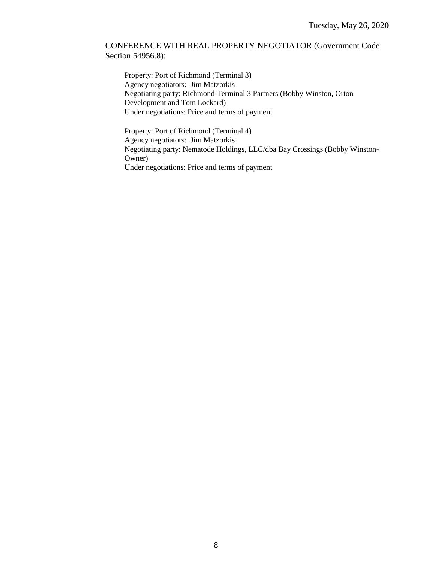#### CONFERENCE WITH REAL PROPERTY NEGOTIATOR (Government Code Section 54956.8):

Property: Port of Richmond (Terminal 3) Agency negotiators: Jim Matzorkis Negotiating party: Richmond Terminal 3 Partners (Bobby Winston, Orton Development and Tom Lockard) Under negotiations: Price and terms of payment

Property: Port of Richmond (Terminal 4) Agency negotiators: Jim Matzorkis Negotiating party: Nematode Holdings, LLC/dba Bay Crossings (Bobby Winston-Owner) Under negotiations: Price and terms of payment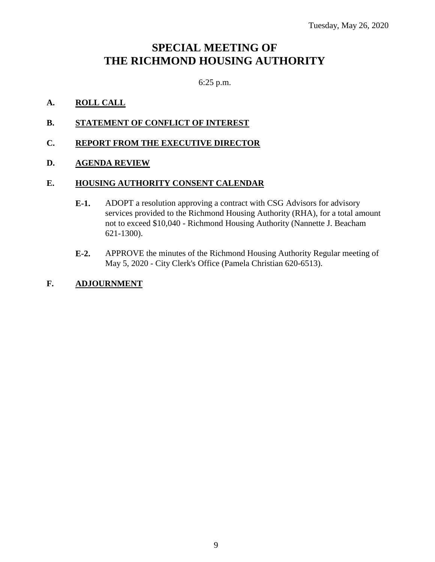## **SPECIAL MEETING OF THE RICHMOND HOUSING AUTHORITY**

6:25 p.m.

#### **A. ROLL CALL**

- **B. STATEMENT OF CONFLICT OF INTEREST**
- **C. REPORT FROM THE EXECUTIVE DIRECTOR**

#### **D. AGENDA REVIEW**

#### **E. HOUSING AUTHORITY CONSENT CALENDAR**

- **E-1.** ADOPT a resolution approving a contract with CSG Advisors for advisory services provided to the Richmond Housing Authority (RHA), for a total amount not to exceed \$10,040 - Richmond Housing Authority (Nannette J. Beacham 621-1300).
- **E-2.** APPROVE the minutes of the Richmond Housing Authority Regular meeting of May 5, 2020 - City Clerk's Office (Pamela Christian 620-6513).

#### **F. ADJOURNMENT**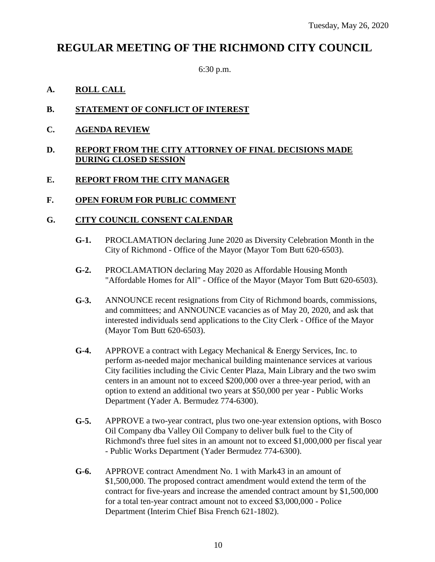## **REGULAR MEETING OF THE RICHMOND CITY COUNCIL**

6:30 p.m.

#### **A. ROLL CALL**

#### **B. STATEMENT OF CONFLICT OF INTEREST**

**C. AGENDA REVIEW**

#### **D. REPORT FROM THE CITY ATTORNEY OF FINAL DECISIONS MADE DURING CLOSED SESSION**

#### **E. REPORT FROM THE CITY MANAGER**

#### **F. OPEN FORUM FOR PUBLIC COMMENT**

#### **G. CITY COUNCIL CONSENT CALENDAR**

- **G-1.** PROCLAMATION declaring June 2020 as Diversity Celebration Month in the City of Richmond - Office of the Mayor (Mayor Tom Butt 620-6503).
- **G-2.** PROCLAMATION declaring May 2020 as Affordable Housing Month "Affordable Homes for All" - Office of the Mayor (Mayor Tom Butt 620-6503).
- **G-3.** ANNOUNCE recent resignations from City of Richmond boards, commissions, and committees; and ANNOUNCE vacancies as of May 20, 2020, and ask that interested individuals send applications to the City Clerk - Office of the Mayor (Mayor Tom Butt 620-6503).
- **G-4.** APPROVE a contract with Legacy Mechanical & Energy Services, Inc. to perform as-needed major mechanical building maintenance services at various City facilities including the Civic Center Plaza, Main Library and the two swim centers in an amount not to exceed \$200,000 over a three-year period, with an option to extend an additional two years at \$50,000 per year - Public Works Department (Yader A. Bermudez 774-6300).
- **G-5.** APPROVE a two-year contract, plus two one-year extension options, with Bosco Oil Company dba Valley Oil Company to deliver bulk fuel to the City of Richmond's three fuel sites in an amount not to exceed \$1,000,000 per fiscal year - Public Works Department (Yader Bermudez 774-6300).
- **G-6.** APPROVE contract Amendment No. 1 with Mark43 in an amount of \$1,500,000. The proposed contract amendment would extend the term of the contract for five-years and increase the amended contract amount by \$1,500,000 for a total ten-year contract amount not to exceed \$3,000,000 - Police Department (Interim Chief Bisa French 621-1802).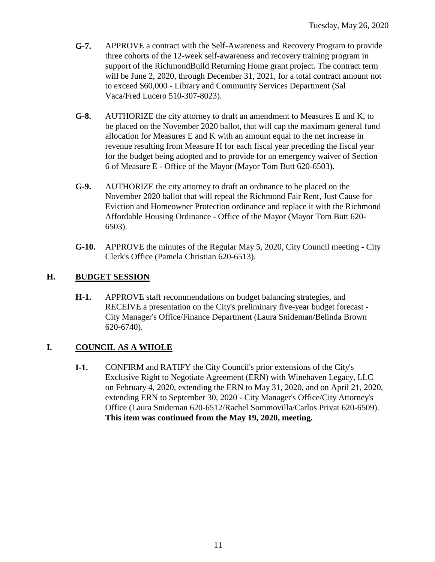- **G-7.** APPROVE a contract with the Self-Awareness and Recovery Program to provide three cohorts of the 12-week self-awareness and recovery training program in support of the RichmondBuild Returning Home grant project. The contract term will be June 2, 2020, through December 31, 2021, for a total contract amount not to exceed \$60,000 - Library and Community Services Department (Sal Vaca/Fred Lucero 510-307-8023).
- **G-8.** AUTHORIZE the city attorney to draft an amendment to Measures E and K, to be placed on the November 2020 ballot, that will cap the maximum general fund allocation for Measures E and K with an amount equal to the net increase in revenue resulting from Measure H for each fiscal year preceding the fiscal year for the budget being adopted and to provide for an emergency waiver of Section 6 of Measure E - Office of the Mayor (Mayor Tom Butt 620-6503).
- **G-9.** AUTHORIZE the city attorney to draft an ordinance to be placed on the November 2020 ballot that will repeal the Richmond Fair Rent, Just Cause for Eviction and Homeowner Protection ordinance and replace it with the Richmond Affordable Housing Ordinance - Office of the Mayor (Mayor Tom Butt 620- 6503).
- **G-10.** APPROVE the minutes of the Regular May 5, 2020, City Council meeting City Clerk's Office (Pamela Christian 620-6513).

#### **H. BUDGET SESSION**

**H-1.** APPROVE staff recommendations on budget balancing strategies, and RECEIVE a presentation on the City's preliminary five-year budget forecast - City Manager's Office/Finance Department (Laura Snideman/Belinda Brown 620-6740).

### **I. COUNCIL AS A WHOLE**

**I-1.** CONFIRM and RATIFY the City Council's prior extensions of the City's Exclusive Right to Negotiate Agreement (ERN) with Winehaven Legacy, LLC on February 4, 2020, extending the ERN to May 31, 2020, and on April 21, 2020, extending ERN to September 30, 2020 - City Manager's Office/City Attorney's Office (Laura Snideman 620-6512/Rachel Sommovilla/Carlos Privat 620-6509). **This item was continued from the May 19, 2020, meeting.**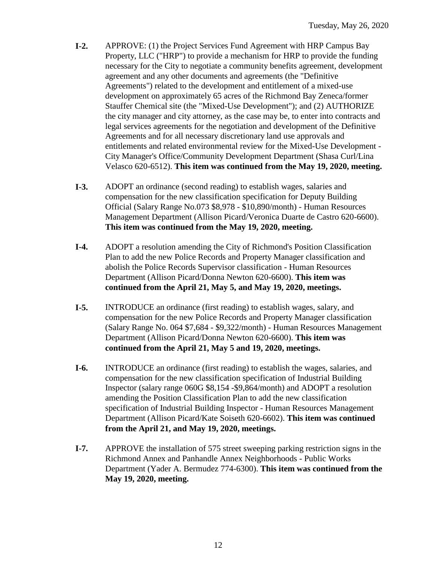- **I-2.** APPROVE: (1) the Project Services Fund Agreement with HRP Campus Bay Property, LLC ("HRP") to provide a mechanism for HRP to provide the funding necessary for the City to negotiate a community benefits agreement, development agreement and any other documents and agreements (the "Definitive Agreements") related to the development and entitlement of a mixed-use development on approximately 65 acres of the Richmond Bay Zeneca/former Stauffer Chemical site (the "Mixed-Use Development"); and (2) AUTHORIZE the city manager and city attorney, as the case may be, to enter into contracts and legal services agreements for the negotiation and development of the Definitive Agreements and for all necessary discretionary land use approvals and entitlements and related environmental review for the Mixed-Use Development - City Manager's Office/Community Development Department (Shasa Curl/Lina Velasco 620-6512). **This item was continued from the May 19, 2020, meeting.**
- **I-3.** ADOPT an ordinance (second reading) to establish wages, salaries and compensation for the new classification specification for Deputy Building Official (Salary Range No.073 \$8,978 - \$10,890/month) - Human Resources Management Department (Allison Picard/Veronica Duarte de Castro 620-6600). **This item was continued from the May 19, 2020, meeting.**
- **I-4.** ADOPT a resolution amending the City of Richmond's Position Classification Plan to add the new Police Records and Property Manager classification and abolish the Police Records Supervisor classification - Human Resources Department (Allison Picard/Donna Newton 620-6600). **This item was continued from the April 21, May 5, and May 19, 2020, meetings.**
- **I-5.** INTRODUCE an ordinance (first reading) to establish wages, salary, and compensation for the new Police Records and Property Manager classification (Salary Range No. 064 \$7,684 - \$9,322/month) - Human Resources Management Department (Allison Picard/Donna Newton 620-6600). **This item was continued from the April 21, May 5 and 19, 2020, meetings.**
- **I-6.** INTRODUCE an ordinance (first reading) to establish the wages, salaries, and compensation for the new classification specification of Industrial Building Inspector (salary range 060G \$8,154 -\$9,864/month) and ADOPT a resolution amending the Position Classification Plan to add the new classification specification of Industrial Building Inspector - Human Resources Management Department (Allison Picard/Kate Soiseth 620-6602). **This item was continued from the April 21, and May 19, 2020, meetings.**
- **I-7.** APPROVE the installation of 575 street sweeping parking restriction signs in the Richmond Annex and Panhandle Annex Neighborhoods - Public Works Department (Yader A. Bermudez 774-6300). **This item was continued from the May 19, 2020, meeting.**